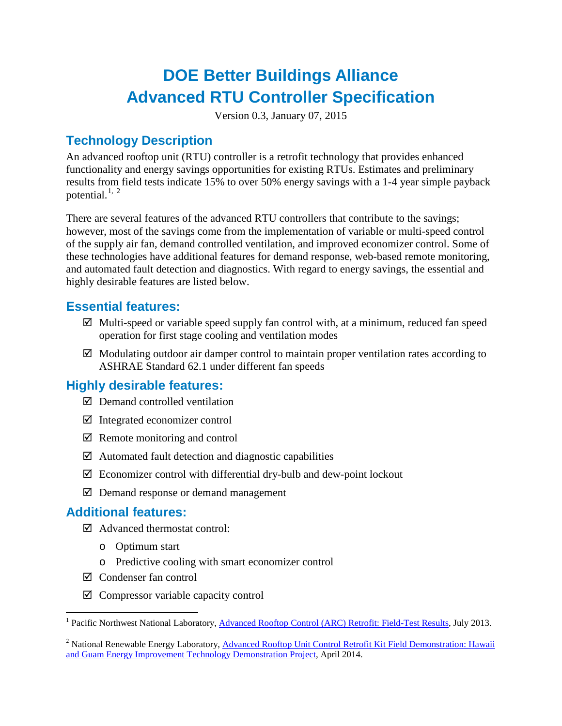# **DOE Better Buildings Alliance Advanced RTU Controller Specification**

Version 0.3, January 07, 2015

## **Technology Description**

An advanced rooftop unit (RTU) controller is a retrofit technology that provides enhanced functionality and energy savings opportunities for existing RTUs. Estimates and preliminary results from field tests indicate 15% to over 50% energy savings with a 1-4 year simple payback potential. $^{1, 2}$  $^{1, 2}$  $^{1, 2}$  $^{1, 2}$  $^{1, 2}$ 

There are several features of the advanced RTU controllers that contribute to the savings; however, most of the savings come from the implementation of variable or multi-speed control of the supply air fan, demand controlled ventilation, and improved economizer control. Some of these technologies have additional features for demand response, web-based remote monitoring, and automated fault detection and diagnostics. With regard to energy savings, the essential and highly desirable features are listed below.

#### **Essential features:**

- $\boxtimes$  Multi-speed or variable speed supply fan control with, at a minimum, reduced fan speed operation for first stage cooling and ventilation modes
- $\boxtimes$  Modulating outdoor air damper control to maintain proper ventilation rates according to ASHRAE Standard 62.1 under different fan speeds

### **Highly desirable features:**

- $\boxtimes$  Demand controlled ventilation
- $\boxtimes$  Integrated economizer control
- $\boxtimes$  Remote monitoring and control
- $\boxtimes$  Automated fault detection and diagnostic capabilities
- $\boxtimes$  Economizer control with differential dry-bulb and dew-point lockout
- $\boxtimes$  Demand response or demand management

#### **Additional features:**

- $\boxtimes$  Advanced thermostat control:
	- o Optimum start
	- o Predictive cooling with smart economizer control
- Condenser fan control
- $\boxtimes$  Compressor variable capacity control

<span id="page-0-0"></span><sup>&</sup>lt;sup>1</sup> Pacific Northwest National Laboratory, **Advanced Rooftop Control (ARC) Retrofit: Field-Test Results**, July 2013.

<span id="page-0-1"></span><sup>&</sup>lt;sup>2</sup> National Renewable Energy Laboratory, Advanced Rooftop Unit Control Retrofit Kit Field Demonstration: Hawaii [and Guam Energy Improvement Technology Demonstration Project,](http://www.nrel.gov/docs/fy14osti/61072.pdf) April 2014.